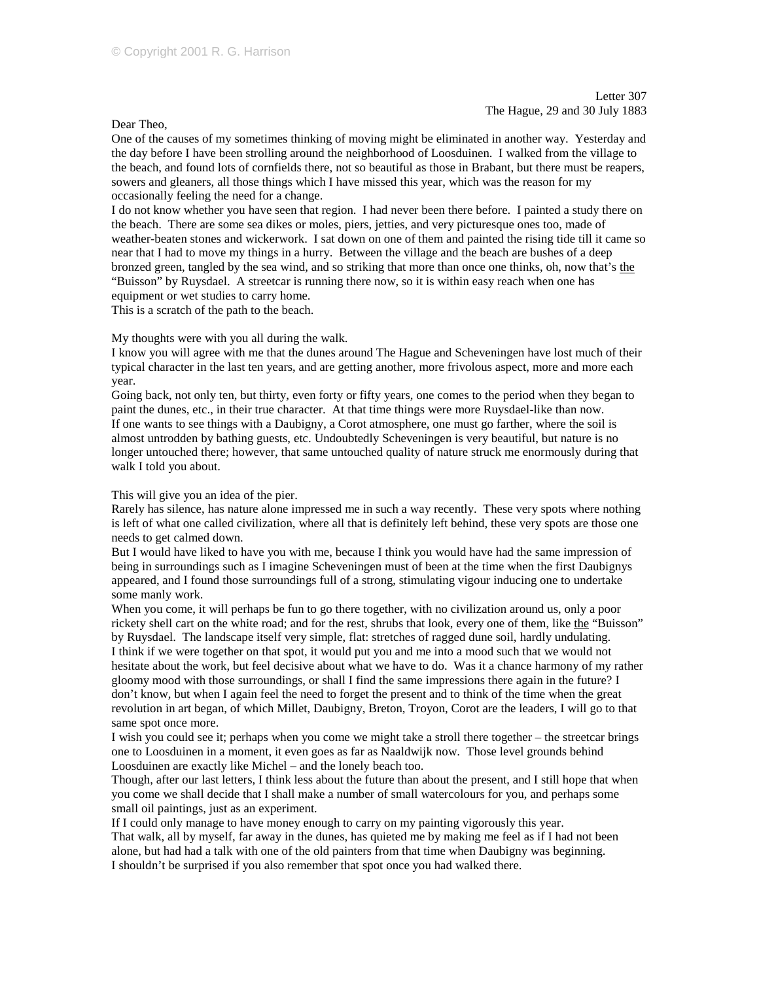Dear Theo,

One of the causes of my sometimes thinking of moving might be eliminated in another way. Yesterday and the day before I have been strolling around the neighborhood of Loosduinen. I walked from the village to the beach, and found lots of cornfields there, not so beautiful as those in Brabant, but there must be reapers, sowers and gleaners, all those things which I have missed this year, which was the reason for my occasionally feeling the need for a change.

I do not know whether you have seen that region. I had never been there before. I painted a study there on the beach. There are some sea dikes or moles, piers, jetties, and very picturesque ones too, made of weather-beaten stones and wickerwork. I sat down on one of them and painted the rising tide till it came so near that I had to move my things in a hurry. Between the village and the beach are bushes of a deep bronzed green, tangled by the sea wind, and so striking that more than once one thinks, oh, now that's the "Buisson" by Ruysdael. A streetcar is running there now, so it is within easy reach when one has equipment or wet studies to carry home.

This is a scratch of the path to the beach.

My thoughts were with you all during the walk.

I know you will agree with me that the dunes around The Hague and Scheveningen have lost much of their typical character in the last ten years, and are getting another, more frivolous aspect, more and more each year.

Going back, not only ten, but thirty, even forty or fifty years, one comes to the period when they began to paint the dunes, etc., in their true character. At that time things were more Ruysdael-like than now. If one wants to see things with a Daubigny, a Corot atmosphere, one must go farther, where the soil is almost untrodden by bathing guests, etc. Undoubtedly Scheveningen is very beautiful, but nature is no longer untouched there; however, that same untouched quality of nature struck me enormously during that walk I told you about.

This will give you an idea of the pier.

Rarely has silence, has nature alone impressed me in such a way recently. These very spots where nothing is left of what one called civilization, where all that is definitely left behind, these very spots are those one needs to get calmed down.

But I would have liked to have you with me, because I think you would have had the same impression of being in surroundings such as I imagine Scheveningen must of been at the time when the first Daubignys appeared, and I found those surroundings full of a strong, stimulating vigour inducing one to undertake some manly work.

When you come, it will perhaps be fun to go there together, with no civilization around us, only a poor rickety shell cart on the white road; and for the rest, shrubs that look, every one of them, like the "Buisson" by Ruysdael. The landscape itself very simple, flat: stretches of ragged dune soil, hardly undulating. I think if we were together on that spot, it would put you and me into a mood such that we would not hesitate about the work, but feel decisive about what we have to do. Was it a chance harmony of my rather gloomy mood with those surroundings, or shall I find the same impressions there again in the future? I don't know, but when I again feel the need to forget the present and to think of the time when the great revolution in art began, of which Millet, Daubigny, Breton, Troyon, Corot are the leaders, I will go to that same spot once more.

I wish you could see it; perhaps when you come we might take a stroll there together – the streetcar brings one to Loosduinen in a moment, it even goes as far as Naaldwijk now. Those level grounds behind Loosduinen are exactly like Michel – and the lonely beach too.

Though, after our last letters, I think less about the future than about the present, and I still hope that when you come we shall decide that I shall make a number of small watercolours for you, and perhaps some small oil paintings, just as an experiment.

If I could only manage to have money enough to carry on my painting vigorously this year. That walk, all by myself, far away in the dunes, has quieted me by making me feel as if I had not been alone, but had had a talk with one of the old painters from that time when Daubigny was beginning. I shouldn't be surprised if you also remember that spot once you had walked there.